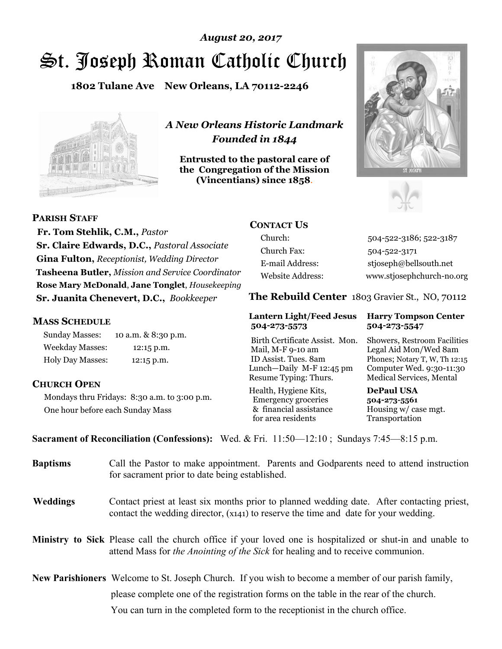# St. Joseph Roman Catholic Church *August 20, 2017*

**1802 Tulane Ave New Orleans, LA 70112-2246**



*A New Orleans Historic Landmark Founded in 1844* 

**Entrusted to the pastoral care of the Congregation of the Mission (Vincentians) since 1858**.





**PARISH STAFF**

 **Fr. Tom Stehlik, C.M.,** *Pastor* **Sr. Claire Edwards, D.C.,** *Pastoral Associate* **Gina Fulton,** *Receptionist, Wedding Director* **Tasheena Butler,** *Mission and Service Coordinator* **Rose Mary McDonald**, **Jane Tonglet**, *Housekeeping* **Sr. Juanita Chenevert, D.C.,** *Bookkeeper* 

#### **MASS SCHEDULE**

Sunday Masses: 10 a.m. & 8:30 p.m. Weekday Masses: 12:15 p.m. Holy Day Masses: 12:15 p.m.

#### **CHURCH OPEN**

Mondays thru Fridays: 8:30 a.m. to 3:00 p.m. One hour before each Sunday Mass

# **CONTACT US**

Church: 504-522-3186; 522-3187 Church Fax: 504-522-3171 E-mail Address: stjoseph@bellsouth.net Website Address: www.stjosephchurch-no.org

**The Rebuild Center** 1803 Gravier St., NO, 70112

#### **Lantern Light/Feed Jesus Harry Tompson Center 504-273-5573 504-273-5547**

Birth Certificate Assist. Mon. Showers, Restroom Facilities Mail, M-F 9-10 am Legal Aid Mon/Wed 8am ID Assist. Tues. 8am Phones; Notary T, W, Th 12:15 Lunch—Daily M-F 12:45 pm Computer Wed. 9:30-11:30 Resume Typing: Thurs. Medical Services, Mental

Health, Hygiene Kits, **DePaul USA**  Emergency groceries **504-273-5561** & financial assistance Housing w/ case mgt.<br>for area residents Transportation for area residents

**Sacrament of Reconciliation (Confessions):** Wed. & Fri. 11:50—12:10 ; Sundays 7:45—8:15 p.m.

| <b>Baptisms</b> | Call the Pastor to make appointment. Parents and Godparents need to attend instruction<br>for sacrament prior to date being established.                                                            |  |
|-----------------|-----------------------------------------------------------------------------------------------------------------------------------------------------------------------------------------------------|--|
| <b>Weddings</b> | Contact priest at least six months prior to planned wedding date. After contacting priest,<br>contact the wedding director, (x141) to reserve the time and date for your wedding.                   |  |
|                 | <b>Ministry to Sick</b> Please call the church office if your loved one is hospitalized or shut-in and unable to<br>attend Mass for the Anointing of the Sick for healing and to receive communion. |  |
|                 | <b>New Parishioners</b> Welcome to St. Joseph Church. If you wish to become a member of our parish family,                                                                                          |  |
|                 | please complete one of the registration forms on the table in the rear of the church.                                                                                                               |  |
|                 | You can turn in the completed form to the receptionist in the church office.                                                                                                                        |  |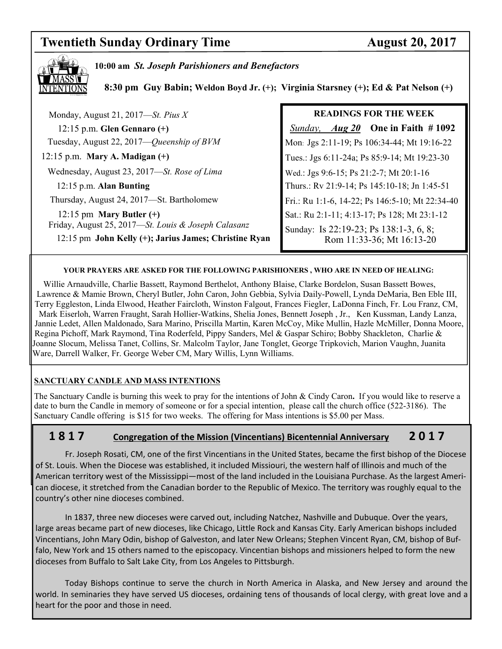# **Twentieth Sunday Ordinary Time August 20, 2017**



**10:00 am** *St. Joseph Parishioners and Benefactors*

 **8:30 pm Guy Babin; Weldon Boyd Jr. (+); Virginia Starsney (+); Ed & Pat Nelson (+)**

| Monday, August 21, 2017—St. Pius $X$                  | <b>READINGS FOR THE WEEK</b>                    |
|-------------------------------------------------------|-------------------------------------------------|
| $12:15$ p.m. Glen Gennaro $(+)$                       | <i>Sunday, Aug 20</i> One in Faith #1092        |
| Tuesday, August 22, 2017—Queenship of BVM             | Mon: Jgs 2:11-19; Ps 106:34-44; Mt 19:16-22     |
| $12:15$ p.m. Mary A. Madigan $(+)$                    | Tues.: Jgs 6:11-24a; Ps 85:9-14; Mt 19:23-30    |
| Wednesday, August 23, 2017-St. Rose of Lima           | Wed.: Jgs 9:6-15; Ps 21:2-7; Mt 20:1-16         |
| 12:15 p.m. Alan Bunting                               | Thurs.: Rv 21:9-14; Ps 145:10-18; Jn 1:45-51    |
| Thursday, August 24, 2017—St. Bartholomew             | Fri.: Ru 1:1-6, 14-22; Ps 146:5-10; Mt 22:34-40 |
| 12:15 pm Mary Butler $(+)$                            | Sat.: Ru 2:1-11; 4:13-17; Ps 128; Mt 23:1-12    |
| Friday, August 25, 2017-St. Louis & Joseph Calasanz   | Sunday: Is 22:19-23; Ps 138:1-3, 6, 8;          |
| 12:15 pm John Kelly (+); Jarius James; Christine Ryan | Rom 11:33-36; Mt 16:13-20                       |
|                                                       |                                                 |

#### **YOUR PRAYERS ARE ASKED FOR THE FOLLOWING PARISHIONERS , WHO ARE IN NEED OF HEALING:**

 Willie Arnaudville, Charlie Bassett, Raymond Berthelot, Anthony Blaise, Clarke Bordelon, Susan Bassett Bowes, Lawrence & Mamie Brown, Cheryl Butler, John Caron, John Gebbia, Sylvia Daily-Powell, Lynda DeMaria, Ben Eble III, Terry Eggleston, Linda Elwood, Heather Faircloth, Winston Falgout, Frances Fiegler, LaDonna Finch, Fr. Lou Franz, CM, Mark Eiserloh, Warren Fraught, Sarah Hollier-Watkins, Shelia Jones, Bennett Joseph , Jr., Ken Kussman, Landy Lanza, Jannie Ledet, Allen Maldonado, Sara Marino, Priscilla Martin, Karen McCoy, Mike Mullin, Hazle McMiller, Donna Moore, Regina Pichoff, Mark Raymond, Tina Roderfeld, Pippy Sanders, Mel & Gaspar Schiro; Bobby Shackleton, Charlie & Joanne Slocum, Melissa Tanet, Collins, Sr. Malcolm Taylor, Jane Tonglet, George Tripkovich, Marion Vaughn, Juanita Ware, Darrell Walker, Fr. George Weber CM, Mary Willis, Lynn Williams.

#### **SANCTUARY CANDLE AND MASS INTENTIONS**

The Sanctuary Candle is burning this week to pray for the intentions of John & Cindy Caron**.** If you would like to reserve a date to burn the Candle in memory of someone or for a special intention, please call the church office (522-3186). The Sanctuary Candle offering is \$15 for two weeks. The offering for Mass intentions is \$5.00 per Mass.

## **1 8 1 7 Congregation of the Mission (Vincentians) Bicentennial Anniversary 2 0 1 7**

 Fr. Joseph Rosati, CM, one of the first Vincentians in the United States, became the first bishop of the Diocese of St. Louis. When the Diocese was established, it included Missiouri, the western half of Illinois and much of the American territory west of the Mississippi—most of the land included in the Louisiana Purchase. As the largest American diocese, it stretched from the Canadian border to the Republic of Mexico. The territory was roughly equal to the country's other nine dioceses combined.

 In 1837, three new dioceses were carved out, including Natchez, Nashville and Dubuque. Over the years, large areas became part of new dioceses, like Chicago, Little Rock and Kansas City. Early American bishops included Vincentians, John Mary Odin, bishop of Galveston, and later New Orleans; Stephen Vincent Ryan, CM, bishop of Buffalo, New York and 15 others named to the episcopacy. Vincentian bishops and missioners helped to form the new dioceses from Buffalo to Salt Lake City, from Los Angeles to Pittsburgh.

 Today Bishops continue to serve the church in North America in Alaska, and New Jersey and around the world. In seminaries they have served US dioceses, ordaining tens of thousands of local clergy, with great love and a heart for the poor and those in need.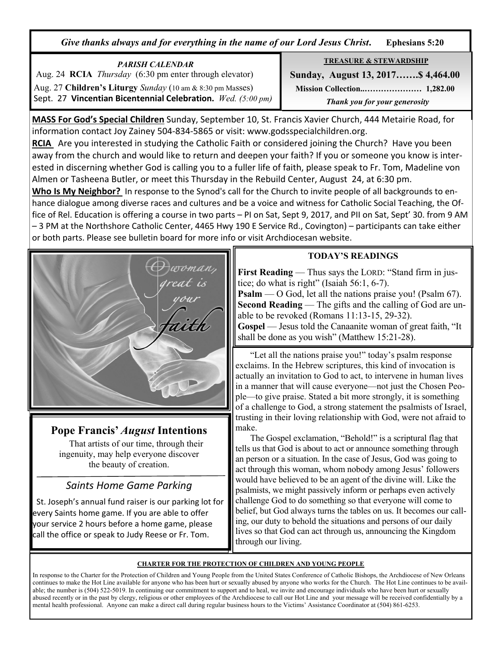*Give thanks always and for everything in the name of our Lord Jesus Christ***. Ephesians 5:20**

*PARISH CALENDAR*  Aug. 24 **RCIA** *Thursday* (6:30 pm enter through elevator) Aug. 27 **Children's Liturgy** *Sunday* (10 am & 8:30 pm Masses) Sept. 27 **Vincentian Bicentennial Celebration.** *Wed. (5:00 pm)*  **TREASURE & STEWARDSHIP**

 **Sunday, August 13, 2017…….\$ 4,464.00 Mission Collection..………………… 1,282.00** *Thank you for your generosity* 

**MASS For God's Special Children** Sunday, September 10, St. Francis Xavier Church, 444 Metairie Road, for information contact Joy Zainey 504-834-5865 or visit: www.godsspecialchildren.org.

**RCIA** Are you interested in studying the Catholic Faith or considered joining the Church? Have you been away from the church and would like to return and deepen your faith? If you or someone you know is interested in discerning whether God is calling you to a fuller life of faith, please speak to Fr. Tom, Madeline von Almen or Tasheena Butler, or meet this Thursday in the Rebuild Center, August 24, at 6:30 pm.

**Who Is My Neighbor?** In response to the Synod's call for the Church to invite people of all backgrounds to enhance dialogue among diverse races and cultures and be a voice and witness for Catholic Social Teaching, the Office of Rel. Education is offering a course in two parts – PI on Sat, Sept 9, 2017, and PII on Sat, Sept' 30. from 9 AM – 3 PM at the Northshore Catholic Center, 4465 Hwy 190 E Service Rd., Covington) – participants can take either or both parts. Please see bulletin board for more info or visit Archdiocesan website.



# **Pope Francis'** *August* **Intentions**

That artists of our time, through their ingenuity, may help everyone discover the beauty of creation.

# *Saints Home Game Parking*

 St. Joseph's annual fund raiser is our parking lot for every Saints home game. If you are able to offer your service 2 hours before a home game, please call the office or speak to Judy Reese or Fr. Tom.

# **TODAY'S READINGS**

**First Reading** — Thus says the LORD: "Stand firm in justice; do what is right" (Isaiah 56:1, 6-7).

**Psalm** — O God, let all the nations praise you! (Psalm 67). **Second Reading** — The gifts and the calling of God are unable to be revoked (Romans 11:13-15, 29-32).

**Gospel** — Jesus told the Canaanite woman of great faith, "It shall be done as you wish" (Matthew 15:21-28).

 "Let all the nations praise you!" today's psalm response exclaims. In the Hebrew scriptures, this kind of invocation is actually an invitation to God to act, to intervene in human lives in a manner that will cause everyone—not just the Chosen People—to give praise. Stated a bit more strongly, it is something of a challenge to God, a strong statement the psalmists of Israel, trusting in their loving relationship with God, were not afraid to make.

 The Gospel exclamation, "Behold!" is a scriptural flag that tells us that God is about to act or announce something through an person or a situation. In the case of Jesus, God was going to act through this woman, whom nobody among Jesus' followers would have believed to be an agent of the divine will. Like the psalmists, we might passively inform or perhaps even actively challenge God to do something so that everyone will come to belief, but God always turns the tables on us. It becomes our calling, our duty to behold the situations and persons of our daily lives so that God can act through us, announcing the Kingdom through our living.

### **CHARTER FOR THE PROTECTION OF CHILDREN AND YOUNG PEOPLE**

In response to the Charter for the Protection of Children and Young People from the United States Conference of Catholic Bishops, the Archdiocese of New Orleans continues to make the Hot Line available for anyone who has been hurt or sexually abused by anyone who works for the Church. The Hot Line continues to be available; the number is (504) 522-5019. In continuing our commitment to support and to heal, we invite and encourage individuals who have been hurt or sexually abused recently or in the past by clergy, religious or other employees of the Archdiocese to call our Hot Line and your message will be received confidentially by a mental health professional. Anyone can make a direct call during regular business hours to the Victims' Assistance Coordinator at (504) 861-6253.